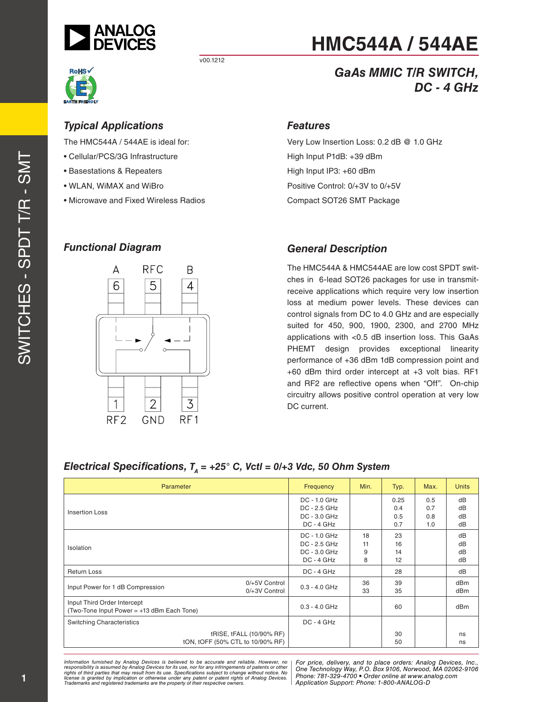



# **HMC544A / 544AE**

### *GaAs MMIC T/R SWITCH, DC - 4 GHz*

#### *Typical Applications*

The HMC544A / 544AE is ideal for:

- Cellular/PCS/3G Infrastructure
- Basestations & Repeaters
- WLAN, WiMAX and WiBro
- Microwave and Fixed Wireless Radios

#### *Functional Diagram*



## *Features*

Very Low Insertion Loss: 0.2 dB @ 1.0 GHz High Input P1dB: +39 dBm High Input IP3: +60 dBm Positive Control: 0/+3V to 0/+5V Compact SOT26 SMT Package

#### *General Description*

The HMC544A & HMC544AE are low cost SPDT switches in 6-lead SOT26 packages for use in transmitreceive applications which require very low insertion loss at medium power levels. These devices can control signals from DC to 4.0 GHz and are especially suited for 450, 900, 1900, 2300, and 2700 MHz applications with <0.5 dB insertion loss. This GaAs PHEMT design provides exceptional linearity performance of +36 dBm 1dB compression point and +60 dBm third order intercept at +3 volt bias. RF1 and RF2 are reflective opens when "Off". On-chip circuitry allows positive control operation at very low DC current.

#### *Electrical Specifications,*  $T_A$  = +25° C, Vctl = 0/+3 Vdc, 50 Ohm System

| Parameter                                                                 | Frequency                                                    | Min.               | Typ.                      | Max.                     | <b>Units</b>                       |
|---------------------------------------------------------------------------|--------------------------------------------------------------|--------------------|---------------------------|--------------------------|------------------------------------|
| <b>Insertion Loss</b>                                                     | DC - 1.0 GHz<br>DC - 2.5 GHz<br>DC - 3.0 GHz<br>$DC - 4 GHz$ |                    | 0.25<br>0.4<br>0.5<br>0.7 | 0.5<br>0.7<br>0.8<br>1.0 | dB<br>dB<br>dB<br>dB               |
| Isolation                                                                 | DC - 1.0 GHz<br>DC - 2.5 GHz<br>DC - 3.0 GHz<br>$DC - 4 GHz$ | 18<br>11<br>9<br>8 | 23<br>16<br>14<br>12      |                          | dB<br>dB<br>dB<br>dB               |
| <b>Return Loss</b>                                                        | $DC - 4 GHz$                                                 |                    | 28                        |                          | dB                                 |
| $0/+5V$ Control<br>Input Power for 1 dB Compression<br>0/+3V Control      | $0.3 - 4.0$ GHz                                              | 36<br>33           | 39<br>35                  |                          | dB <sub>m</sub><br>dB <sub>m</sub> |
| Input Third Order Intercept<br>(Two-Tone Input Power = +13 dBm Each Tone) | $0.3 - 4.0$ GHz                                              |                    | 60                        |                          | dB <sub>m</sub>                    |
| <b>Switching Characteristics</b>                                          | DC - 4 GHz                                                   |                    |                           |                          |                                    |
| tRISE, tFALL (10/90% RF)<br>tON, tOFF (50% CTL to 10/90% RF)              |                                                              |                    | 30<br>50                  |                          | ns<br>ns                           |

*Formation iurnished by Analog Devices is believed to be accurate and reliable. However, no Hor price, delivery, and to place orders: Analog Devices, In<br>roonsibility is assumed by Analog Devices for its use, nor for any pressult from its use. Specifications subject to change without notice. No*<br>ation or otherwise under any patent or patent rights of Analog Devices Phone: 781-329-4700 • Order online at ww *e* the property of their respective owners. **Application Support: Phone: 1-8** *Information furnished by Analog Devices is believed to be accurate and reliable. However, no*  responsibility is assumed by Analog Devices for its use, nor for any infringements of patents or other<br>rights of third parties that may result from its use. Specifications subject to change without notice. No<br>license is gr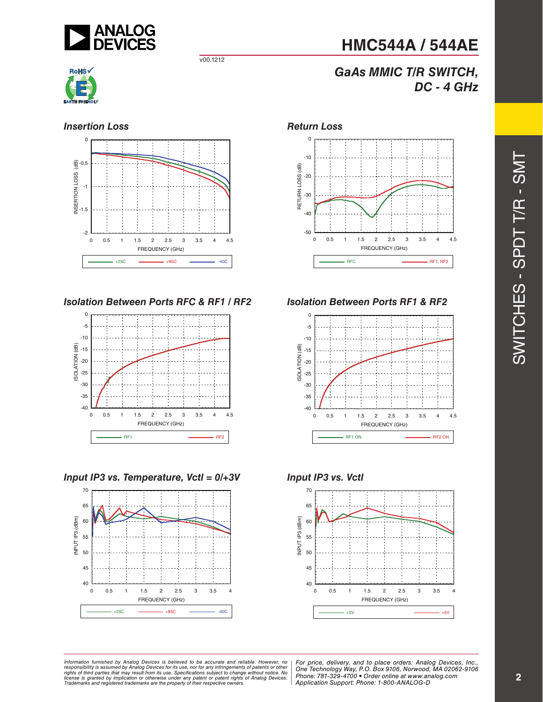

#### **Insertion Loss** *Return Loss*



*Isolation Between Ports RFC & RF1 / RF2 Isolation Between Ports RF1 & RF2*



*Input IP3 vs. Temperature, Vctl = 0/+3V Input IP3 vs. Vctl*





*DC - 4 GHz*

**HMC544A / 544AE**

*GaAs MMIC T/R SWITCH,*







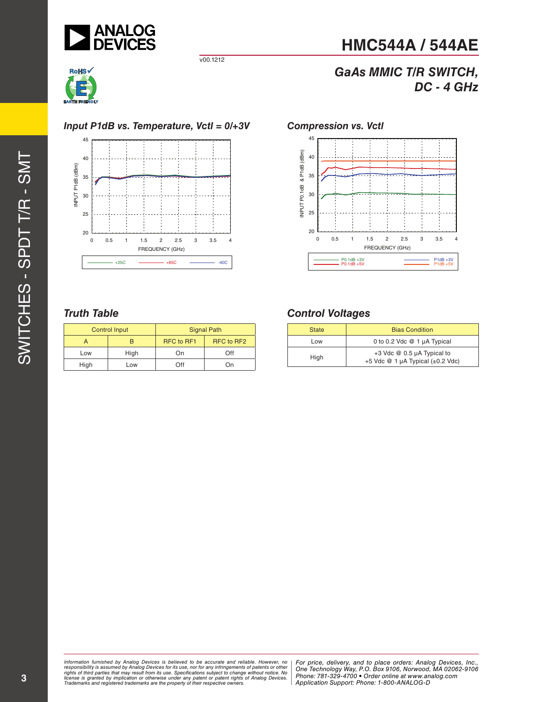



#### *Input P1dB vs. Temperature, Vctl = 0/+3V Compression vs. Vctl*



#### *Truth Table*

| <b>Control Input</b> |      | <b>Signal Path</b> |            |  |
|----------------------|------|--------------------|------------|--|
|                      |      | RFC to RF1         | RFC to RF2 |  |
| Low                  | High | On)                | ∩ff        |  |
| High                 | Low  | ∩ff                | Dn)        |  |

# 45



**HMC544A / 544AE**

*GaAs MMIC T/R SWITCH,*

*DC - 4 GHz*

#### *Control Voltages*

| <b>State</b> | <b>Bias Condition</b>                                                    |
|--------------|--------------------------------------------------------------------------|
| Low          | 0 to 0.2 Vdc @ 1 µA Typical                                              |
| High         | +3 Vdc @ 0.5 µA Typical to<br>+5 Vdc $@1 \mu A$ Typical ( $\pm 0.2$ Vdc) |

*Formation iurnished by Analog Devices is believed to be accurate and reliable. However, no Hor price, delivery, and to place orders: Analog Devices, In<br>roonsibility is assumed by Analog Devices for its use, nor for any pressult from its use. Specifications subject to change without notice. No*<br>ation or otherwise under any patent or patent rights of Analog Devices Phone: 781-329-4700 • Order online at ww *e* the property of their respective owners. **Application Support: Phone: 1-8** Information furnished by Analog Devices is believed to be accurate and reliable. However, no<br>responsibility is assumed by Analog Devices for its use, nor for any infringements of patents or other<br>rights of third parties th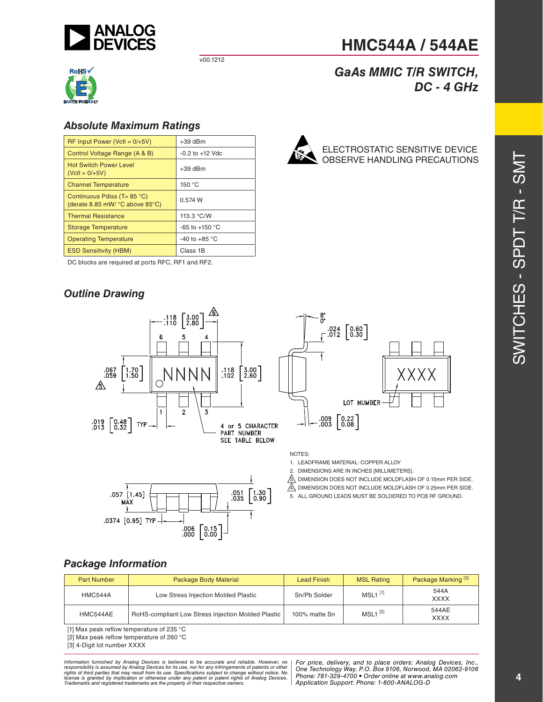



#### *Absolute Maximum Ratings*

| $RF$ Input Power (Vctl = $0/+5V$ )                                                      | $+39$ dBm               |
|-----------------------------------------------------------------------------------------|-------------------------|
| Control Voltage Range (A & B)                                                           | $-0.2$ to $+12$ Vdc     |
| <b>Hot Switch Power Level</b><br>$(VctI = 0/+5V)$                                       | $+39$ dBm               |
| <b>Channel Temperature</b>                                                              | 150 °C                  |
| Continuous Pdiss ( $T = 85$ °C)<br>(derate 8.85 mW/ $^{\circ}$ C above 85 $^{\circ}$ C) | 0.574 W                 |
| <b>Thermal Resistance</b>                                                               | 113.3 °C/W              |
| <b>Storage Temperature</b>                                                              | $-65$ to $+150$ °C      |
| <b>Operating Temperature</b>                                                            | -40 to +85 $^{\circ}$ C |
| <b>ESD Sensitivity (HBM)</b>                                                            | Class 1B                |

DC blocks are required at ports RFC, RF1 and RF2.

#### *Outline Drawing*



ELECTROSTATIC SENSITIVE DEVICE OBSERVE HANDLING PRECAUTIONS

**HMC544A / 544AE**

*GaAs MMIC T/R SWITCH,*

*DC - 4 GHz*

SWITCHES - SPDT T/R - SMT





 $.024$   $\begin{bmatrix} 0.60 \\ 0.30 \end{bmatrix}$ XXXX LOT NUMBER  $.009 \begin{bmatrix} 0.22 \\ 0.08 \end{bmatrix}$ 

NOTES:

1. LEADFRAME MATERIAL: COPPER ALLOY

2. DIMENSIONS ARE IN INCHES [MILLIMETERS].

 $\overline{3}$ . DIMENSION DOES NOT INCLUDE MOLDFLASH OF 0.15mm PER SIDE.

 $\overline{A}$  DIMENSION DOES NOT INCLUDE MOLDFLASH OF 0.25mm PER SIDE.

5. ALL GROUND LEADS MUST BE SOLDERED TO PCB RF GROUND.

#### *Package Information*

| <b>Part Number</b> | Package Body Material                              | Lead Finish   | <b>MSL Rating</b>     | Package Marking <sup>[3]</sup> |
|--------------------|----------------------------------------------------|---------------|-----------------------|--------------------------------|
| HMC544A            | Low Stress Injection Molded Plastic                | Sn/Pb Solder  | $MSL1$ <sup>[1]</sup> | 544A<br><b>XXXX</b>            |
| HMC544AE           | RoHS-compliant Low Stress Injection Molded Plastic | 100% matte Sn | $MSL1$ <sup>[2]</sup> | 544AE<br><b>XXXX</b>           |

[1] Max peak reflow temperature of 235 °C

[2] Max peak reflow temperature of 260 °C

[3] 4-Digit lot number XXXX

*Formation iurnished by Analog Devices is believed to be accurate and reliable. However, no Hor price, delivery, and to place orders: Analog Devices, In<br>roonsibility is assumed by Analog Devices for its use, nor for any pressult from its use. Specifications subject to change without notice. No*<br>ation or otherwise under any patent or patent rights of Analog Devices Phone: 781-329-4700 • Order online at ww *e* the property of their respective owners. **Application Support: Phone: 1-8** Information furnished by Analog Devices is believed to be accurate and reliable. However, no<br>responsibility is assumed by Analog Devices for its use, nor for any infringements of patents or other<br>rights of third parties th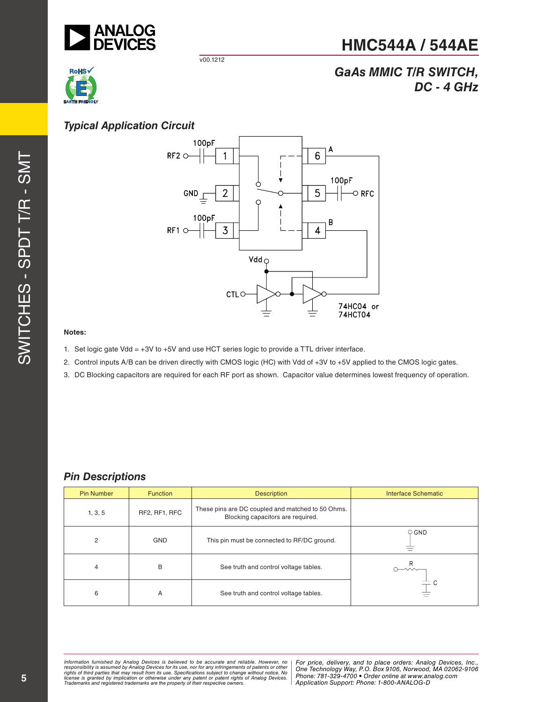

**RoHS** 

v00.1212



## *GaAs MMIC T/R SWITCH, DC - 4 GHz*

#### *Typical Application Circuit*



#### **Notes:**

- 1. Set logic gate Vdd = +3V to +5V and use HCT series logic to provide a TTL driver interface.
- 2. Control inputs A/B can be driven directly with CMOS logic (HC) with Vdd of +3V to +5V applied to the CMOS logic gates.
- 3. DC Blocking capacitors are required for each RF port as shown. Capacitor value determines lowest frequency of operation.

#### *Pin Descriptions*

| <b>Pin Number</b> | <b>Function</b> | <b>Description</b>                                                                     | <b>Interface Schematic</b> |
|-------------------|-----------------|----------------------------------------------------------------------------------------|----------------------------|
| 1, 3, 5           | RF2, RF1, RFC   | These pins are DC coupled and matched to 50 Ohms.<br>Blocking capacitors are required. |                            |
| 2                 | <b>GND</b>      | This pin must be connected to RF/DC ground.                                            | $\circ$ GND                |
| 4                 | B               | See truth and control voltage tables.                                                  | $\smash{\rightarrow}$      |
| 6                 | A               | See truth and control voltage tables.                                                  |                            |

*Formation iurnished by Analog Devices is believed to be accurate and reliable. However, no Hor price, delivery, and to place orders: Analog Devices, In<br>roonsibility is assumed by Analog Devices for its use, nor for any pressult from its use. Specifications subject to change without notice. No*<br>ation or otherwise under any patent or patent rights of Analog Devices Phone: 781-329-4700 • Order online at ww *e* the property of their respective owners. **Application Support: Phone: 1-8** Information furnished by Analog Devices is believed to be accurate and reliable. However, no<br>responsibility is assumed by Analog Devices for its use, nor for any infringements of patents or other<br>rights of third parties th